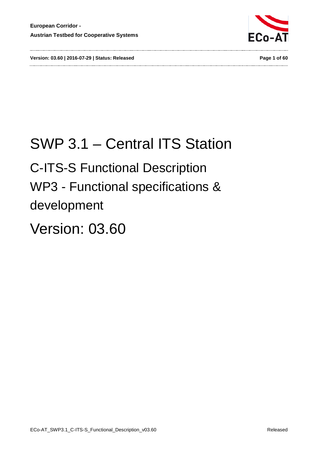



# <span id="page-0-1"></span><span id="page-0-0"></span>SWP 3.1 – Central ITS Station C-ITS-S Functional Description WP3 - Functional specifications & development Version: 03.60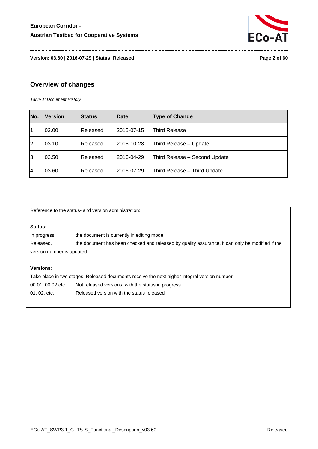

**Version: 03.60 | 2016-07-29 | Status: Released Page 2 of 60**

# **Overview of changes**

<span id="page-1-0"></span>*Table 1: Document History*

| No.            | <b>Version</b> | <b>Status</b> | <b>Date</b> | <b>Type of Change</b>         |
|----------------|----------------|---------------|-------------|-------------------------------|
| 1              | 03.00          | Released      | 2015-07-15  | <b>Third Release</b>          |
| $\overline{2}$ | 03.10          | Released      | 2015-10-28  | Third Release - Update        |
| 3              | 03.50          | Released      | 2016-04-29  | Third Release - Second Update |
| 4              | 03.60          | Released      | 2016-07-29  | Third Release - Third Update  |

Reference to the status- and version administration:

#### **Status**:

In progress, the document is currently in editing mode Released, the document has been checked and released by quality assurance, it can only be modified if the version number is updated.

#### **Versions**:

Take place in two stages. Released documents receive the next higher integral version number. 00.01, 00.02 etc. Not released versions, with the status in progress 01, 02, etc. Released version with the status released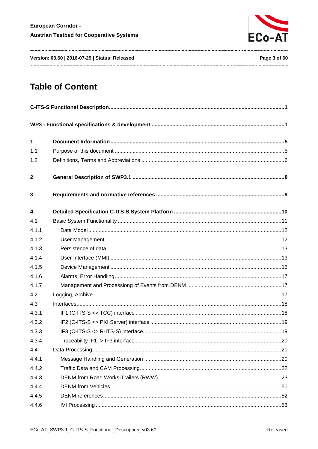

Version: 03.60 | 2016-07-29 | Status: Released

# **Table of Content**

| $\mathbf{1}$            |  |  |  |
|-------------------------|--|--|--|
| 1.1                     |  |  |  |
| 1.2                     |  |  |  |
| $\overline{\mathbf{2}}$ |  |  |  |
| 3                       |  |  |  |
| $\overline{\mathbf{4}}$ |  |  |  |
| 4.1                     |  |  |  |
| 4.1.1                   |  |  |  |
| 4.1.2                   |  |  |  |
| 4.1.3                   |  |  |  |
| 4.1.4                   |  |  |  |
| 4.1.5                   |  |  |  |
| 4.1.6                   |  |  |  |
| 4.1.7                   |  |  |  |
| 4.2                     |  |  |  |
| 4.3                     |  |  |  |
| 4.3.1                   |  |  |  |
| 4.3.2                   |  |  |  |
| 4.3.3                   |  |  |  |
| 4.3.4                   |  |  |  |
| 4.4                     |  |  |  |
| 4.4.1                   |  |  |  |
| 4.4.2                   |  |  |  |
| 4.4.3                   |  |  |  |
| 4.4.4                   |  |  |  |
| 4.4.5                   |  |  |  |
| 4.4.6                   |  |  |  |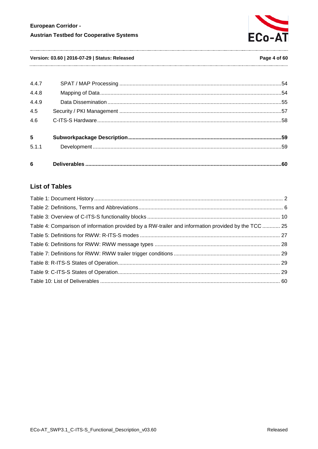

#### Version: 03.60 | 2016-07-29 | Status: Released

#### Page 4 of 60

| $6\phantom{1}$ |  |
|----------------|--|
| 5.1.1          |  |
| 5              |  |
| 4.6            |  |
| 4.5            |  |
| 4.4.9          |  |
| 4.4.8          |  |
| 4.4.7          |  |

# **List of Tables**

| Table 4: Comparison of information provided by a RW-trailer and information provided by the TCC  25 |  |
|-----------------------------------------------------------------------------------------------------|--|
|                                                                                                     |  |
|                                                                                                     |  |
|                                                                                                     |  |
|                                                                                                     |  |
|                                                                                                     |  |
|                                                                                                     |  |
|                                                                                                     |  |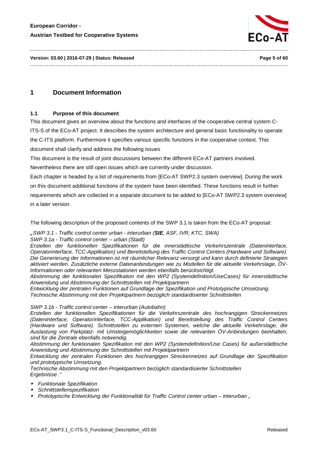

**Version: 03.60 | 2016-07-29 | Status: Released Page 5 of 60**

# <span id="page-4-1"></span><span id="page-4-0"></span>**1 Document Information**

#### **1.1 Purpose of this document**

This document gives an overview about the functions and interfaces of the cooperative central system C-ITS-S of the ECo-AT project. It describes the system architecture and general basic functionality to operate the C-ITS platform. Furthermore it specifies various specific functions in the cooperative context. This document shall clarify and address the following issues

This document is the result of joint discussions between the different ECo-AT partners involved.

Nevertheless there are still open issues which are currently under discussion.

Each chapter is headed by a list of requirements from [ECo-AT SWP2.3 system overview]. During the work on this document additional functions of the system have been identified. These functions result in further requirements which are collected in a separate document to be added to [ECo-AT SWP2.3 system overview] in a later version.

The following description of the proposed contents of the SWP 3.1 is taken from the ECo-AT proposal:

*"SWP 3.1 - Traffic control center urban - interurban (SIE, ASF, IVR, KTC, SWA)* 

#### *SWP 3.1a - Traffic control center – urban (Stadt)*

*Erstellen der funktionellen Spezifikationen für die innerstädtische Verkehrszentrale (Dateninterface, Operatorinterface, TCC-Applikation) und Bereitstellung des Traffic Control Centers (Hardware und Software). Die Generierung der Informationen ist mit räumlicher Relevanz versorgt und kann durch definierte Strategien aktiviert werden. Zusätzliche externe Datenanbindungen wie zu Modellen für die aktuelle Verkehrslage, ÖV-Informationen oder relevanten Messstationen werden ebenfalls berücksichtigt.* 

*Abstimmung der funktionalen Spezifikation mit den WP2 (Systemdefinition/UseCases) für innerstädtische Anwendung und Abstimmung der Schnittstellen mit Projektpartnern* 

*Entwicklung der zentralen Funktionen auf Grundlage der Spezifikation und Prototypische Umsetzung. Technische Abstimmung mit den Projektpartnern bezüglich standardisierter Schnittstellen* 

*SWP 3.1b - Traffic control center – interurban (Autobahn)* 

*Erstellen der funktionellen Spezifikationen für die Verkehrszentrale des hochrangigen Streckennetzes (Dateninterface, Operatorinterface, TCC-Applikation) und Bereitstellung des Traffic Control Centers (Hardware und Software). Schnittstellen zu externen Systemen, welche die aktuelle Verkehrslage, die Auslastung von Parkplatz- mit Umsteigemöglichkeiten sowie die relevanten ÖV-Anbindungen beinhalten, sind für die Zentrale ebenfalls notwendig.* 

*Abstimmung der funktionalen Spezifikation mit den WP2 (Systemdefinition/Use Cases) für außerstädtische Anwendung und Abstimmung der Schnittstellen mit Projektpartnern* 

*Entwicklung der zentralen Funktionen des hochrangigen Streckennetzes auf Grundlage der Spezifikation und prototypische Umsetzung.* 

*Technische Abstimmung mit den Projektpartnern bezüglich standardisierter Schnittstellen Ergebnisse ."*

- *Funktionale Spezifikation*
- *Schnittstellenspezifikation*
- *Prototypische Entwicklung der Funktionalität für Traffic Control center urban – interurban "*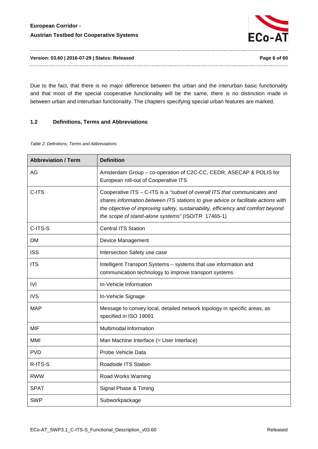

**Version: 03.60 | 2016-07-29 | Status: Released Page 6 of 60**

Due to the fact, that there is no major difference between the urban and the interurban basic functionality and that most of the special cooperative functionality will be the same, there is no distinction made in between urban and interurban functionality. The chapters specifying special urban features are marked.

# <span id="page-5-0"></span>**1.2 Definitions, Terms and Abbreviations**

<span id="page-5-1"></span>*Table 2: Definitions, Terms and Abbreviations*

| <b>Abbreviation / Term</b> | <b>Definition</b>                                                                                                                                                                                                                                                                                        |
|----------------------------|----------------------------------------------------------------------------------------------------------------------------------------------------------------------------------------------------------------------------------------------------------------------------------------------------------|
| AG                         | Amsterdam Group - co-operation of C2C-CC, CEDR, ASECAP & POLIS for<br>European roll-out of Cooperative ITS                                                                                                                                                                                               |
| C-ITS                      | Cooperative ITS - C-ITS is a "subset of overall ITS that communicates and<br>shares information between ITS stations to give advice or facilitate actions with<br>the objective of improving safety, sustainability, efficiency and comfort beyond<br>the scope of stand-alone systems" (ISO/TR 17465-1) |
| C-ITS-S                    | <b>Central ITS Station</b>                                                                                                                                                                                                                                                                               |
| <b>DM</b>                  | Device Management                                                                                                                                                                                                                                                                                        |
| <b>ISS</b>                 | Intersection Safety use case                                                                                                                                                                                                                                                                             |
| <b>ITS</b>                 | Intelligent Transport Systems - systems that use information and<br>communication technology to improve transport systems                                                                                                                                                                                |
| <b>IVI</b>                 | In-Vehicle Information                                                                                                                                                                                                                                                                                   |
| <b>IVS</b>                 | In-Vehicle Signage                                                                                                                                                                                                                                                                                       |
| <b>MAP</b>                 | Message to convey local, detailed network topology in specific areas, as<br>specified in ISO 19091                                                                                                                                                                                                       |
| <b>MIF</b>                 | Multimodal Information                                                                                                                                                                                                                                                                                   |
| <b>MMI</b>                 | Man Machine Interface (= User Interface)                                                                                                                                                                                                                                                                 |
| <b>PVD</b>                 | Probe Vehicle Data                                                                                                                                                                                                                                                                                       |
| R-ITS-S                    | Roadside ITS Station                                                                                                                                                                                                                                                                                     |
| <b>RWW</b>                 | Road Works Warning                                                                                                                                                                                                                                                                                       |
| <b>SPAT</b>                | Signal Phase & Timing                                                                                                                                                                                                                                                                                    |
| <b>SWP</b>                 | Subworkpackage                                                                                                                                                                                                                                                                                           |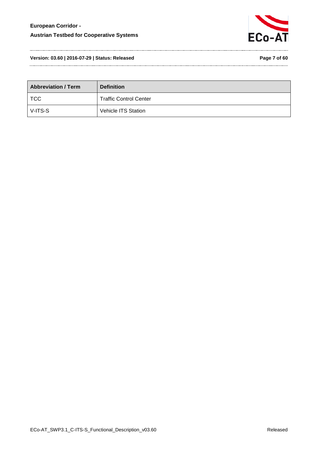

**Version: 03.60 | 2016-07-29 | Status: Released Page 7 of 60**

| <b>Abbreviation / Term</b> | <b>Definition</b>             |
|----------------------------|-------------------------------|
| <b>TCC</b>                 | <b>Traffic Control Center</b> |
| V-ITS-S                    | <b>Vehicle ITS Station</b>    |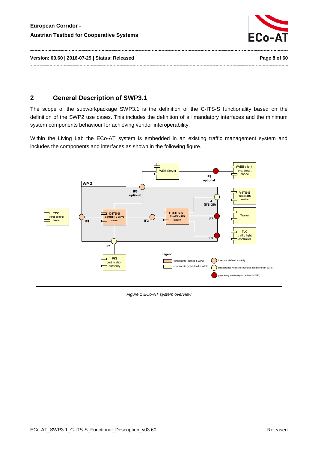

**Version: 03.60 | 2016-07-29 | Status: Released Page 8 of 60**

# <span id="page-7-0"></span>**2 General Description of SWP3.1**

The scope of the subworkpackage SWP3.1 is the definition of the C-ITS-S functionality based on the definition of the SWP2 use cases. This includes the definition of all mandatory interfaces and the minimum system components behaviour for achieving vendor interoperability.

Within the Living Lab the ECo-AT system is embedded in an existing traffic management system and includes the components and interfaces as shown in the following figure.



*Figure 1 ECo-AT system overview*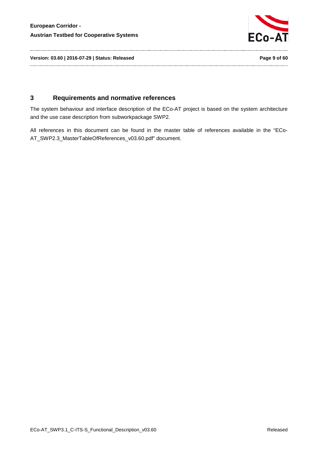

**Version: 03.60 | 2016-07-29 | Status: Released Page 9 of 60**

# <span id="page-8-0"></span>**3 Requirements and normative references**

The system behaviour and interface description of the ECo-AT project is based on the system architecture and the use case description from subworkpackage SWP2.

All references in this document can be found in the master table of references available in the "ECo-AT\_SWP2.3\_MasterTableOfReferences\_v03.60.pdf" document.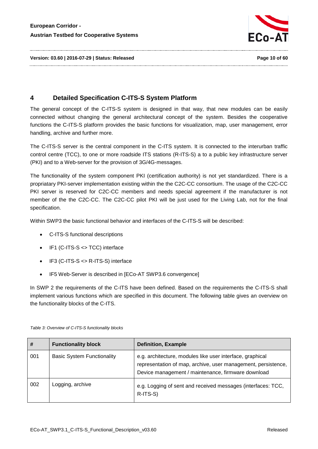

**Version: 03.60 | 2016-07-29 | Status: Released Page 10 of 60**

# <span id="page-9-0"></span>**4 Detailed Specification C-ITS-S System Platform**

The general concept of the C-ITS-S system is designed in that way, that new modules can be easily connected without changing the general architectural concept of the system. Besides the cooperative functions the C-ITS-S platform provides the basic functions for visualization, map, user management, error handling, archive and further more.

The C-ITS-S server is the central component in the C-ITS system. It is connected to the interurban traffic control centre (TCC), to one or more roadside ITS stations (R-ITS-S) a to a public key infrastructure server (PKI) and to a Web-server for the provision of 3G/4G-messages.

The functionality of the system component PKI (certification authority) is not yet standardized. There is a propriatary PKI-server implementation existing within the the C2C-CC consortium. The usage of the C2C-CC PKI server is reserved for C2C-CC members and needs special agreement if the manufacturer is not member of the the C2C-CC. The C2C-CC pilot PKI will be just used for the Living Lab, not for the final specification.

Within SWP3 the basic functional behavior and interfaces of the C-ITS-S will be described:

- C-ITS-S functional descriptions
- IF1 (C-ITS-S <> TCC) interface
- IF3 (C-ITS-S <> R-ITS-S) interface
- IF5 Web-Server is described in [ECo-AT SWP3.6 convergence]

In SWP 2 the requirements of the C-ITS have been defined. Based on the requirements the C-ITS-S shall implement various functions which are specified in this document. The following table gives an overview on the functionality blocks of the C-ITS.

| #   | <b>Functionality block</b>        | <b>Definition, Example</b>                                                                                                                                                       |
|-----|-----------------------------------|----------------------------------------------------------------------------------------------------------------------------------------------------------------------------------|
| 001 | <b>Basic System Functionality</b> | e.g. architecture, modules like user interface, graphical<br>representation of map, archive, user management, persistence,<br>Device management / maintenance, firmware download |
| 002 | Logging, archive                  | e.g. Logging of sent and received messages (interfaces: TCC,<br>R-ITS-S)                                                                                                         |

<span id="page-9-1"></span>*Table 3: Overview of C-ITS-S functionality blocks*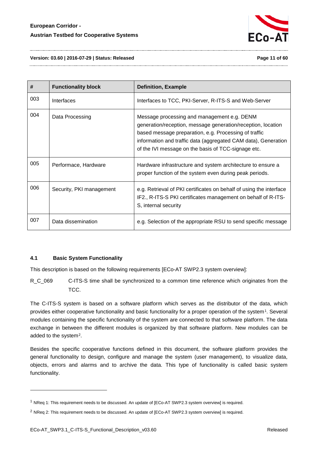

**Version: 03.60 | 2016-07-29 | Status: Released Page 11 of 60**

| #   | <b>Functionality block</b> | <b>Definition, Example</b>                                                                                                                                                                                                                                                                    |
|-----|----------------------------|-----------------------------------------------------------------------------------------------------------------------------------------------------------------------------------------------------------------------------------------------------------------------------------------------|
| 003 | Interfaces                 | Interfaces to TCC, PKI-Server, R-ITS-S and Web-Server                                                                                                                                                                                                                                         |
| 004 | Data Processing            | Message processing and management e.g. DENM<br>generation/reception, message generation/reception, location<br>based message preparation, e.g. Processing of traffic<br>information and traffic data (aggregated CAM data), Generation<br>of the IVI message on the basis of TCC-signage etc. |
| 005 | Performace, Hardware       | Hardware infrastructure and system architecture to ensure a<br>proper function of the system even during peak periods.                                                                                                                                                                        |
| 006 | Security, PKI management   | e.g. Retrieval of PKI certificates on behalf of using the interface<br>IF2., R-ITS-S PKI certificates management on behalf of R-ITS-<br>S, internal security                                                                                                                                  |
| 007 | Data dissemination         | e.g. Selection of the appropriate RSU to send specific message                                                                                                                                                                                                                                |

#### <span id="page-10-0"></span>**4.1 Basic System Functionality**

This description is based on the following requirements [ECo-AT SWP2.3 system overview]:

R\_C\_069 C-ITS-S time shall be synchronized to a common time reference which originates from the TCC.

The C-ITS-S system is based on a software platform which serves as the distributor of the data, which provides either cooperative functionality and basic functionality for a proper operation of the system<sup>[1](#page-10-1)</sup>. Several modules containing the specific functionality of the system are connected to that software platform. The data exchange in between the different modules is organized by that software platform. New modules can be added to the system[2.](#page-10-2)

Besides the specific cooperative functions defined in this document, the software platform provides the general functionality to design, configure and manage the system (user management), to visualize data, objects, errors and alarms and to archive the data. This type of functionality is called basic system functionality.

-

<span id="page-10-1"></span><sup>&</sup>lt;sup>1</sup> NReq 1: This requirement needs to be discussed. An update of [ECo-AT SWP2.3 system overview] is required.

<span id="page-10-2"></span><sup>2</sup> NReq 2: This requirement needs to be discussed. An update of [ECo-AT SWP2.3 system overview] is required.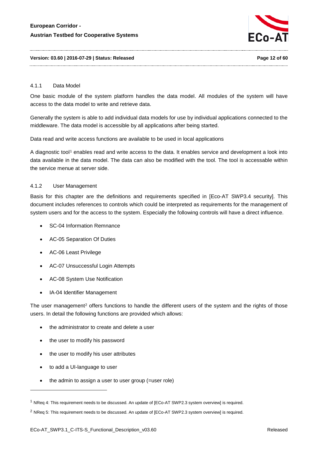

# **Version: 03.60 | 2016-07-29 | Status: Released Page 12 of 60**

#### <span id="page-11-0"></span>4.1.1 Data Model

One basic module of the system platform handles the data model. All modules of the system will have access to the data model to write and retrieve data.

Generally the system is able to add individual data models for use by individual applications connected to the middleware. The data model is accessible by all applications after being started.

Data read and write access functions are available to be used in local applications

A diagnostic tool<sup>[1](#page-11-2)</sup> enables read and write access to the data. It enables service and development a look into data available in the data model. The data can also be modified with the tool. The tool is accessable within the service menue at server side.

#### <span id="page-11-1"></span>4.1.2 User Management

Basis for this chapter are the definitions and requirements specified in [Eco-AT SWP3.4 security]. This document includes references to controls which could be interpreted as requirements for the management of system users and for the access to the system. Especially the following controls will have a direct influence.

- SC-04 Information Remnance
- AC-05 Separation Of Duties
- AC-06 Least Privilege
- AC-07 Unsuccessful Login Attempts
- AC-08 System Use Notification
- IA-04 Identifier Management

The user management<sup>[2](#page-11-3)</sup> offers functions to handle the different users of the system and the rights of those users. In detail the following functions are provided which allows:

- the administrator to create and delete a user
- the user to modify his password
- the user to modify his user attributes
- to add a UI-language to user

-

• the admin to assign a user to user group (=user role)

<span id="page-11-2"></span><sup>1</sup> NReq 4: This requirement needs to be discussed. An update of [ECo-AT SWP2.3 system overview] is required.

<span id="page-11-3"></span><sup>&</sup>lt;sup>2</sup> NReq 5: This requirement needs to be discussed. An update of [ECo-AT SWP2.3 system overview] is required.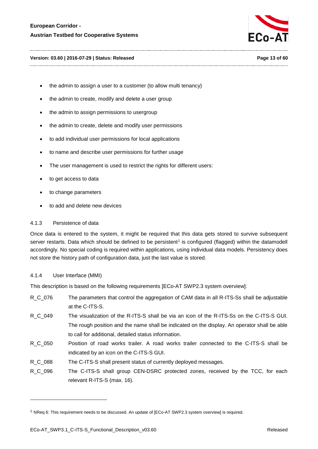

#### **Version: 03.60 | 2016-07-29 | Status: Released Page 13 of 60**

- the admin to assign a user to a customer (to allow multi tenancy)
- the admin to create, modify and delete a user group
- the admin to assign permissions to usergroup
- the admin to create, delete and modify user permissions
- to add individual user permissions for local applications
- to name and describe user permissions for further usage
- The user management is used to restrict the rights for different users:
- to get access to data
- to change parameters
- to add and delete new devices

#### <span id="page-12-0"></span>4.1.3 Persistence of data

Once data is entered to the system, it might be required that this data gets stored to survive subsequent server restarts. Data which should be defined to be persistent<sup>[1](#page-12-2)</sup> is configured (flagged) within the datamodell accordingly. No special coding is required within applications, using individual data models. Persistency does not store the history path of configuration data, just the last value is stored.

#### <span id="page-12-1"></span>4.1.4 User Interface (MMI)

-

This description is based on the following requirements [ECo-AT SWP2.3 system overview]:

- R\_C\_076 The parameters that control the aggregation of CAM data in all R-ITS-Ss shall be adjustable at the C-ITS-S.
- R C 049 The visualization of the R-ITS-S shall be via an icon of the R-ITS-Ss on the C-ITS-S GUI. The rough position and the name shall be indicated on the display. An operator shall be able to call for additional, detailed status information.
- R C 050 Position of road works trailer. A road works trailer connected to the C-ITS-S shall be indicated by an icon on the C-ITS-S GUI.
- R C 088 The C-ITS-S shall present status of currently deployed messages.
- R C 096 The C-ITS-S shall group CEN-DSRC protected zones, received by the TCC, for each relevant R-ITS-S (max. 16).

<span id="page-12-2"></span><sup>1</sup> NReq 6: This requirement needs to be discussed. An update of [ECo-AT SWP2.3 system overview] is required.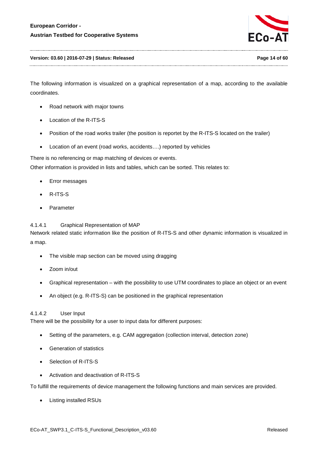

#### **Version: 03.60 | 2016-07-29 | Status: Released Page 14 of 60**

The following information is visualized on a graphical representation of a map, according to the available coordinates.

- Road network with major towns
- Location of the R-ITS-S
- Position of the road works trailer (the position is reportet by the R-ITS-S located on the trailer)
- Location of an event (road works, accidents….) reported by vehicles

There is no referencing or map matching of devices or events.

Other information is provided in lists and tables, which can be sorted. This relates to:

- Error messages
- R-ITS-S
- **Parameter**

#### 4.1.4.1 Graphical Representation of MAP

Network related static information like the position of R-ITS-S and other dynamic information is visualized in a map.

- The visible map section can be moved using dragging
- Zoom in/out
- Graphical representation with the possibility to use UTM coordinates to place an object or an event
- An object (e.g. R-ITS-S) can be positioned in the graphical representation

#### 4.1.4.2 User Input

There will be the possibility for a user to input data for different purposes:

- Setting of the parameters, e.g. CAM aggregation (collection interval, detection zone)
- Generation of statistics
- Selection of R-ITS-S
- Activation and deactivation of R-ITS-S

To fulfill the requirements of device management the following functions and main services are provided.

• Listing installed RSUs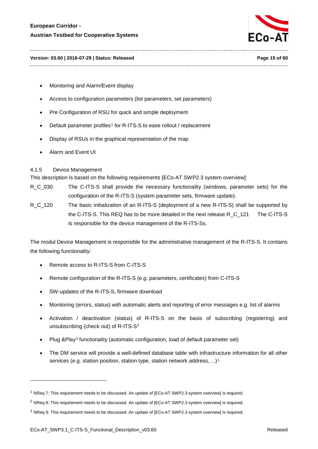

#### **Version: 03.60 | 2016-07-29 | Status: Released Page 15 of 60**

- Monitoring and Alarm/Event display
- Access to configuration parameters (list parameters, set parameters)
- Pre Configuration of RSU for quick and simple deployment
- Default parameter profiles<sup>[1](#page-14-1)</sup> for R-ITS-S to ease rollout / replacement
- Display of RSUs in the graphical representation of the map
- Alarm and Event UI

#### <span id="page-14-0"></span>4.1.5 Device Management

This description is based on the following requirements [ECo-AT SWP2.3 system overview]:

- R C 030 The C-ITS-S shall provide the necessary functionality (windows, parameter sets) for the configuration of the R-ITS-S (system parameter sets, firmware update).
- R\_C\_120 The basic initialization of an R-ITS-S (deployment of a new R-ITS-S) shall be supported by the C-ITS-S. This REQ has to be more detailed in the next release.R\_C\_121 The C-ITS-S is responsible for the device management of the R-ITS-Ss.

The modul Device Management is responsible for the administrative management of the R-ITS-S. It contains the following functionality:

- Remote access to R-ITS-S from C-ITS-S
- Remote configuration of the R-ITS-S (e.g. parameters, certificates) from C-ITS-S
- SW-updates of the R-ITS-S, firmware download
- Monitoring (errors, status) with automatic alerts and reporting of error messages e.g. list of alarms
- Activation / deactivation (status) of R-ITS-S on the basis of subscribing (registering) and unsubscribing (check out) of R-ITS-S<sup>[2](#page-14-2)</sup>
- Plug &Play[3](#page-14-3) functionality (automatic configuration, load of default parameter set)
- The DM service will provide a well-defined database table with infrastructure information for all other services (e.g. station position, station type, station network address, ...)<sup>[1](#page-14-1)</sup>

-

<span id="page-14-1"></span><sup>1</sup> NReq 7: This requirement needs to be discussed. An update of [ECo-AT SWP2.3 system overview] is required.

<span id="page-14-3"></span><span id="page-14-2"></span><sup>2</sup> NReq 8: This requirement needs to be discussed. An update of [ECo-AT SWP2.3 system overview] is required.

<sup>&</sup>lt;sup>3</sup> NReq 9: This requirement needs to be discussed. An update of [ECo-AT SWP2.3 system overview] is required.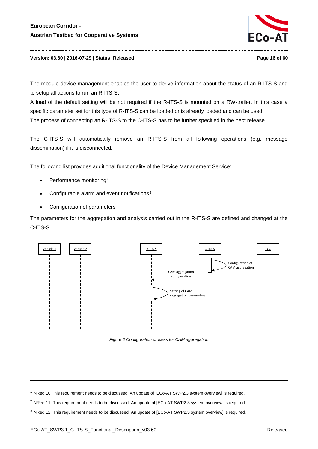

#### **Version: 03.60 | 2016-07-29 | Status: Released Page 16 of 60**

The module device management enables the user to derive information about the status of an R-ITS-S and to setup all actions to run an R-ITS-S.

A load of the default setting will be not required if the R-ITS-S is mounted on a RW-trailer. In this case a specific parameter set for this type of R-ITS-S can be loaded or is already loaded and can be used. The process of connecting an R-ITS-S to the C-ITS-S has to be further specified in the nect release.

The C-ITS-S will automatically remove an R-ITS-S from all following operations (e.g. message dissemination) if it is disconnected.

The following list provides additional functionality of the Device Management Service:

- Performance monitoring<sup>[2](#page-15-0)</sup>
- Configurable alarm and event notifications<sup>[3](#page-15-1)</sup>
- Configuration of parameters

The parameters for the aggregation and analysis carried out in the R-ITS-S are defined and changed at the C-ITS-S.



*Figure 2 Configuration process for CAM aggregation*

-

<sup>1</sup> NReq 10 This requirement needs to be discussed. An update of [ECo-AT SWP2.3 system overview] is required.

<span id="page-15-0"></span><sup>2</sup> NReq 11: This requirement needs to be discussed. An update of [ECo-AT SWP2.3 system overview] is required.

<span id="page-15-1"></span><sup>3</sup> NReq 12: This requirement needs to be discussed. An update of [ECo-AT SWP2.3 system overview] is required.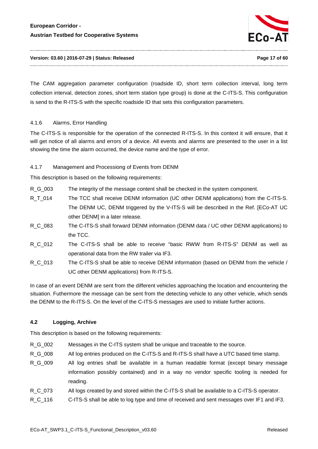

#### **Version: 03.60 | 2016-07-29 | Status: Released Page 17 of 60**

The CAM aggregation parameter configuration (roadside ID, short term collection interval, long term collection interval, detection zones, short term station type group) is done at the C-ITS-S. This configuration is send to the R-ITS-S with the specific roadside ID that sets this configuration parameters.

#### <span id="page-16-0"></span>4.1.6 Alarms, Error Handling

The C-ITS-S is responsible for the operation of the connected R-ITS-S. In this context it will ensure, that it will get notice of all alarms and errors of a device. All events and alarms are presented to the user in a list showing the time the alarm occurred, the device name and the type of error.

#### <span id="page-16-1"></span>4.1.7 Management and Processiong of Events from DENM

This description is based on the following requirements:

- R\_G\_003 The integrity of the message content shall be checked in the system component.
- R\_T\_014 The TCC shall receive DENM information (UC other DENM applications) from the C-ITS-S. The DENM UC, DENM triggered by the V-ITS-S will be described in the Ref. [ECo-AT UC other DENM] in a later release.
- R C 083 The C-ITS-S shall forward DENM information (DENM data / UC other DENM applications) to the TCC.
- R\_C\_012 The C-ITS-S shall be able to receive "basic RWW from R-ITS-S" DENM as well as operational data from the RW trailer via IF3.
- R\_C\_013 The C-ITS-S shall be able to receive DENM information (based on DENM from the vehicle / UC other DENM applications) from R-ITS-S.

In case of an event DENM are sent from the different vehicles approaching the location and encountering the situation. Futhermore the message can be sent from the detecting vehicle to any other vehicle, which sends the DENM to the R-ITS-S. On the level of the C-ITS-S messages are used to initiate further actions.

#### <span id="page-16-2"></span>**4.2 Logging, Archive**

This description is based on the following requirements:

- R G 002 Messages in the C-ITS system shall be unique and traceable to the source.
- R G 008 All log entries produced on the C-ITS-S and R-ITS-S shall have a UTC based time stamp.
- R\_G\_009 All log entries shall be available in a human readable format (except binary message information possibly contained) and in a way no vendor specific tooling is needed for reading.
- R\_C\_073 All logs created by and stored within the C-ITS-S shall be available to a C-ITS-S operator.
- R\_C\_116 C-ITS-S shall be able to log type and time of received and sent messages over IF1 and IF3.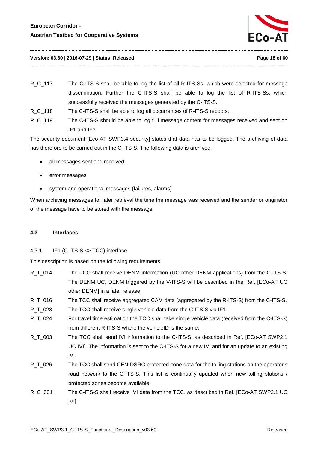

- R\_C\_117 The C-ITS-S shall be able to log the list of all R-ITS-Ss, which were selected for message dissemination. Further the C-ITS-S shall be able to log the list of R-ITS-Ss, which successfully received the messages generated by the C-ITS-S.
- R\_C\_118 The C-ITS-S shall be able to log all occurrences of R-ITS-S reboots.
- R\_C\_119 The C-ITS-S should be able to log full message content for messages received and sent on IF1 and IF3.

The security document [Eco-AT SWP3.4 security] states that data has to be logged. The archiving of data has therefore to be carried out in the C-ITS-S. The following data is archived.

- all messages sent and received
- error messages
- system and operational messages (failures, alarms)

When archiving messages for later retrieval the time the message was received and the sender or originator of the message have to be stored with the message.

#### <span id="page-17-1"></span><span id="page-17-0"></span>**4.3 Interfaces**

#### 4.3.1 IF1 (C-ITS-S <> TCC) interface

This description is based on the following requirements

- R\_T\_014 The TCC shall receive DENM information (UC other DENM applications) from the C-ITS-S. The DENM UC, DENM triggered by the V-ITS-S will be described in the Ref. [ECo-AT UC other DENM] in a later release.
- R\_T\_016 The TCC shall receive aggregated CAM data (aggregated by the R-ITS-S) from the C-ITS-S.
- R\_T\_023 The TCC shall receive single vehicle data from the C-ITS-S via IF1.
- R T 024 For travel time estimation the TCC shall take single vehicle data (received from the C-ITS-S) from different R-ITS-S where the vehicleID is the same.
- R\_T\_003 The TCC shall send IVI information to the C-ITS-S, as described in Ref. [ECo-AT SWP2.1 UC IVI]. The information is sent to the C-ITS-S for a new IVI and for an update to an existing IVI.
- R T 026 The TCC shall send CEN-DSRC protected zone data for the tolling stations on the operator's road network to the C-ITS-S. This list is continually updated when new tolling stations / protected zones become available
- R\_C\_001 The C-ITS-S shall receive IVI data from the TCC, as described in Ref. [ECo-AT SWP2.1 UC IVI].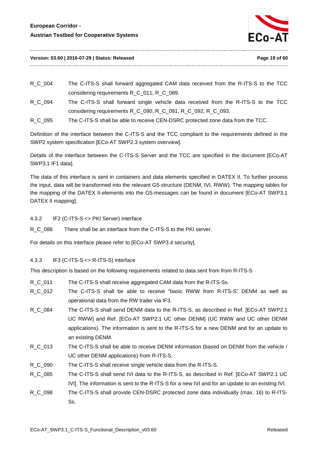

- R\_C\_004 The C-ITS-S shall forward aggregated CAM data received from the R-ITS-S to the TCC considering requirements R\_C\_011, R\_C\_089.
- R\_C\_094 The C-ITS-S shall forward single vehicle data received from the R-ITS-S to the TCC considering requirements R\_C\_090, R\_C\_091, R\_C\_092, R\_C\_093.
- R\_C\_095 The C-ITS-S shall be able to receive CEN-DSRC protected zone data from the TCC.

Definition of the interface between the C-ITS-S and the TCC compliant to the requirements defined in the SWP2 system specification [ECo-AT SWP2.3 system overview].

Details of the interface between the C-ITS-S Server and the TCC are specified in the document [ECo-AT SWP3.1 IF1 data].

The data of this interface is sent in containers and data elements specified in DATEX II. To further process the input, data will be transformed into the relevant G5-structure (DENM, IVI, RWW). The mapping tables for the mapping of the DATEX II-elements into the G5-messages can be found in document [ECo-AT SWP3.1 DATEX II mapping].

<span id="page-18-0"></span>4.3.2 IF2 (C-ITS-S <> PKI Server) interface

R\_C\_086 There shall be an interface from the C-ITS-S to the PKI server.

For details on this interface please refer to [ECo-AT SWP3.4 security].

#### <span id="page-18-1"></span>4.3.3 IF3 (C-ITS-S <> R-ITS-S) interface

This description is based on the following requirements related to data sent from from R-ITS-S

- R\_C\_011 The C-ITS-S shall receive aggregated CAM data from the R-ITS-Ss.
- R C 012 The C-ITS-S shall be able to receive "basic RWW from R-ITS-S" DENM as well as operational data from the RW trailer via IF3.
- R\_C\_084 The C-ITS-S shall send DENM data to the R-ITS-S, as described in Ref. [ECo-AT SWP2.1 UC RWW] and Ref. [ECo-AT SWP2.1 UC other DENM] (UC RWW and UC other DENM applications). The information is sent to the R-ITS-S for a new DENM and for an update to an existing DENM.
- R\_C\_013 The C-ITS-S shall be able to receive DENM information (based on DENM from the vehicle / UC other DENM applications) from R-ITS-S.
- R C 090 The C-ITS-S shall receive single vehicle data from the R-ITS-S.
- R\_C\_085 The C-ITS-S shall send IVI data to the R-ITS-S, as described in Ref. [ECo-AT SWP2.1 UC IVI]. The information is sent to the R-ITS-S for a new IVI and for an update to an existing IVI.
- R C 098 The C-ITS-S shall provide CEN-DSRC protected zone data individually (max. 16) to R-ITS-Ss.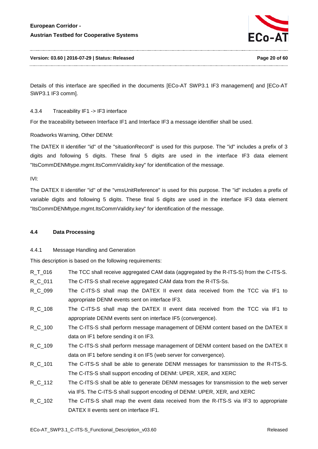

#### **Version: 03.60 | 2016-07-29 | Status: Released Page 20 of 60**

Details of this interface are specified in the documents [ECo-AT SWP3.1 IF3 management] and [ECo-AT SWP3.1 IF3 comm].

<span id="page-19-0"></span>4.3.4 Traceability IF1 -> IF3 interface

For the traceability between Interface IF1 and Interface IF3 a message identifier shall be used.

Roadworks Warning, Other DENM:

The DATEX II identifier "id" of the "situationRecord" is used for this purpose. The "id" includes a prefix of 3 digits and following 5 digits. These final 5 digits are used in the interface IF3 data element "ItsCommDENMtype.mgmt.ItsCommValidity.key" for identification of the message.

IVI:

The DATEX II identifier "id" of the "vmsUnitReference" is used for this purpose. The "id" includes a prefix of variable digits and following 5 digits. These final 5 digits are used in the interface IF3 data element "ItsCommDENMtype.mgmt.ItsCommValidity.key" for identification of the message.

#### <span id="page-19-2"></span><span id="page-19-1"></span>**4.4 Data Processing**

#### 4.4.1 Message Handling and Generation

This description is based on the following requirements:

| R_T_016 | The TCC shall receive aggregated CAM data (aggregated by the R-ITS-S) from the C-ITS-S. |  |  |
|---------|-----------------------------------------------------------------------------------------|--|--|
|---------|-----------------------------------------------------------------------------------------|--|--|

- R C 011 The C-ITS-S shall receive aggregated CAM data from the R-ITS-Ss.
- R C 099 The C-ITS-S shall map the DATEX II event data received from the TCC via IF1 to appropriate DENM events sent on interface IF3.
- R C 108 The C-ITS-S shall map the DATEX II event data received from the TCC via IF1 to appropriate DENM events sent on interface IF5 (convergence).
- R\_C\_100 The C-ITS-S shall perform message management of DENM content based on the DATEX II data on IF1 before sending it on IF3.
- R C 109 The C-ITS-S shall perform message management of DENM content based on the DATEX II data on IF1 before sending it on IF5 (web server for convergence).
- R\_C\_101 The C-ITS-S shall be able to generate DENM messages for transmission to the R-ITS-S. The C-ITS-S shall support encoding of DENM: UPER, XER, and XERC
- R C 112 The C-ITS-S shall be able to generate DENM messages for transmission to the web server via IF5. The C-ITS-S shall support encoding of DENM: UPER, XER, and XERC
- R C 102 The C-ITS-S shall map the event data received from the R-ITS-S via IF3 to appropriate DATEX II events sent on interface IF1.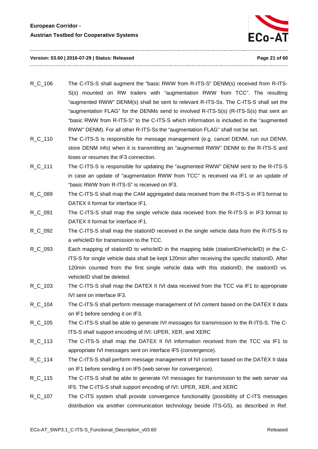

#### **Version: 03.60 | 2016-07-29 | Status: Released Page 21 of 60**

- R\_C\_106 The C-ITS-S shall augment the "basic RWW from R-ITS-S" DENM(s) received from R-ITS-S(s) mounted on RW trailers with "augmentation RWW from TCC". The resulting "augmented RWW" DENM(s) shall be sent to relevant R-ITS-Ss. The C-ITS-S shall set the "augmentation FLAG" for the DENMs send to involved R-ITS-S(s) (R-ITS-S(s) that sent an "basic RWW from R-ITS-S" to the C-ITS-S which information is included in the "augmented RWW" DENM). For all other R-ITS-Ss the "augmentation FLAG" shall not be set.
- R C 110 The C-ITS-S is responsible for message management (e.g. cancel DENM, run out DENM, store DENM info) when it is transmitting an "augmented RWW" DENM to the R-ITS-S and loses or resumes the IF3 connection.
- R C 111 The C-ITS-S is responsible for updating the "augmented RWW" DENM sent to the R-ITS-S in case an update of "augmentation RWW from TCC" is received via IF1 or an update of "basic RWW from R-ITS-S" is received on IF3.
- R\_C\_089 The C-ITS-S shall map the CAM aggregated data received from the R-ITS-S in IF3 format to DATEX II format for interface IF1.
- R\_C\_091 The C-ITS-S shall map the single vehicle data received from the R-ITS-S in IF3 format to DATEX II format for interface IF1.
- R C 092 The C-ITS-S shall map the stationID received in the single vehicle data from the R-ITS-S to a vehicleID for transmission to the TCC.
- R\_C\_093 Each mapping of stationID to vehicleID in the mapping table (stationID/vehicleID) in the C-ITS-S for single vehicle data shall be kept 120min after receiving the specific stationID. After 120min counted from the first single vehicle data with this stationID, the stationID vs. vehicleID shall be deleted.
- R\_C\_103 The C-ITS-S shall map the DATEX II IVI data received from the TCC via IF1 to appropriate IVI sent on interface IF3.
- R\_C\_104 The C-ITS-S shall perform message management of IVI content based on the DATEX II data on IF1 before sending it on IF3.
- R\_C\_105 The C-ITS-S shall be able to generate IVI messages for transmission to the R-ITS-S. The C-ITS-S shall support encoding of IVI: UPER, XER, and XERC
- R\_C\_113 The C-ITS-S shall map the DATEX II IVI information received from the TCC via IF1 to appropriate IVI messages sent on interface IF5 (convergence).
- R C 114 The C-ITS-S shall perform message management of IVI content based on the DATEX II data on IF1 before sending it on IF5 (web server for convergence).
- R\_C\_115 The C-ITS-S shall be able to generate IVI messages for transmission to the web server via IF5. The C-ITS-S shall support encoding of IVI: UPER, XER, and XERC
- R C 107 The C-ITS system shall provide convergence functionality (possibility of C-ITS messages distribution via another communication technology beside ITS-G5), as described in Ref.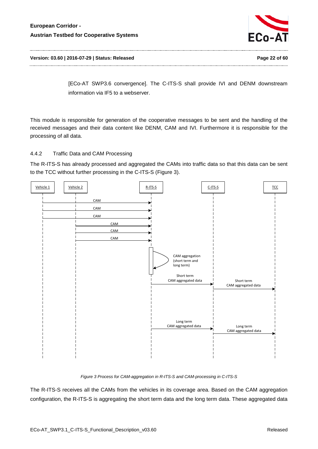

#### **Version: 03.60 | 2016-07-29 | Status: Released Page 22 of 60**

[ECo-AT SWP3.6 convergence]. The C-ITS-S shall provide IVI and DENM downstream information via IF5 to a webserver.

This module is responsible for generation of the cooperative messages to be sent and the handling of the received messages and their data content like DENM, CAM and IVI. Furthermore it is responsible for the processing of all data.

#### <span id="page-21-0"></span>4.4.2 Traffic Data and CAM Processing

The R-ITS-S has already processed and aggregated the CAMs into traffic data so that this data can be sent to the TCC without further processing in the C-ITS-S [\(Figure 3\)](#page-21-1).



*Figure 3 Process for CAM-aggregation in R-ITS-S and CAM-processing in C-ITS-S*

<span id="page-21-1"></span>The R-ITS-S receives all the CAMs from the vehicles in its coverage area. Based on the CAM aggregation configuration, the R-ITS-S is aggregating the short term data and the long term data. These aggregated data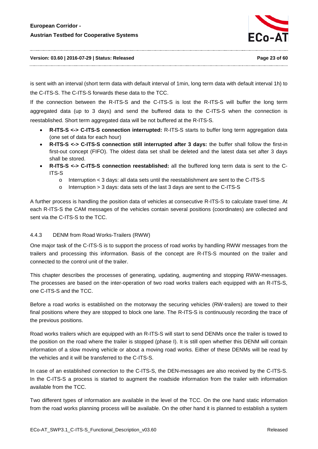

is sent with an interval (short term data with default interval of 1min, long term data with default interval 1h) to the C-ITS-S. The C-ITS-S forwards these data to the TCC.

If the connection between the R-ITS-S and the C-ITS-S is lost the R-ITS-S will buffer the long term aggregated data (up to 3 days) and send the buffered data to the C-ITS-S when the connection is reestablished. Short term aggregated data will be not buffered at the R-ITS-S.

- **R-ITS-S <-> C-ITS-S connection interrupted:** R-ITS-S starts to buffer long term aggregation data (one set of data for each hour)
- **R-ITS-S <-> C-ITS-S connection still interrupted after 3 days:** the buffer shall follow the first-in first-out concept (FIFO). The oldest data set shall be deleted and the latest data set after 3 days shall be stored.
- **R-ITS-S <-> C-ITS-S connection reestablished:** all the buffered long term data is sent to the C-ITS-S
	- o Interruption < 3 days: all data sets until the reestablishment are sent to the C-ITS-S
	- o Interruption > 3 days: data sets of the last 3 days are sent to the C-ITS-S

A further process is handling the position data of vehicles at consecutive R-ITS-S to calculate travel time. At each R-ITS-S the CAM messages of the vehicles contain several positions (coordinates) are collected and sent via the C-ITS-S to the TCC.

#### <span id="page-22-0"></span>4.4.3 DENM from Road Works-Trailers (RWW)

One major task of the C-ITS-S is to support the process of road works by handling RWW messages from the trailers and processing this information. Basis of the concept are R-ITS-S mounted on the trailer and connected to the control unit of the trailer.

This chapter describes the processes of generating, updating, augmenting and stopping RWW-messages. The processes are based on the inter-operation of two road works trailers each equipped with an R-ITS-S, one C-ITS-S and the TCC.

Before a road works is established on the motorway the securing vehicles (RW-trailers) are towed to their final positions where they are stopped to block one lane. The R-ITS-S is continuously recording the trace of the previous positions.

Road works trailers which are equipped with an R-ITS-S will start to send DENMs once the trailer is towed to the position on the road where the trailer is stopped (phase I). It is still open whether this DENM will contain information of a slow moving vehicle or about a moving road works. Either of these DENMs will be read by the vehicles and it will be transferred to the C-ITS-S.

In case of an established connection to the C-ITS-S, the DEN-messages are also received by the C-ITS-S. In the C-ITS-S a process is started to augment the roadside information from the trailer with information available from the TCC.

Two different types of information are available in the level of the TCC. On the one hand static information from the road works planning process will be available. On the other hand it is planned to establish a system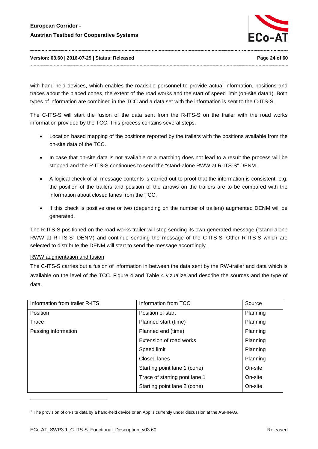

#### **Version: 03.60 | 2016-07-29 | Status: Released Page 24 of 60**

with hand-held devices, which enables the roadside personnel to provide actual information, positions and traces about the placed cones, the extent of the road works and the start of speed limit (on-site data[1\)](#page-23-0). Both types of information are combined in the TCC and a data set with the information is sent to the C-ITS-S.

The C-ITS-S will start the fusion of the data sent from the R-ITS-S on the trailer with the road works information provided by the TCC. This process contains several steps.

- Location based mapping of the positions reported by the trailers with the positions available from the on-site data of the TCC.
- In case that on-site data is not available or a matching does not lead to a result the process will be stopped and the R-ITS-S continoues to send the "stand-alone RWW at R-ITS-S" DENM.
- A logical check of all message contents is carried out to proof that the information is consistent, e.g. the position of the trailers and position of the arrows on the trailers are to be compared with the information about closed lanes from the TCC.
- If this check is positive one or two (depending on the number of trailers) augmented DENM will be generated.

The R-ITS-S positioned on the road works trailer will stop sending its own generated message ("stand-alone RWW at R-ITS-S" DENM) and continue sending the message of the C-ITS-S. Other R-ITS-S which are selected to distribute the DENM will start to send the message accordingly.

#### RWW augmentation and fusion

-

The C-ITS-S carries out a fusion of information in between the data sent by the RW-trailer and data which is available on the level of the TCC. [Figure 4](#page-24-1) and [Table 4](#page-24-0) vizualize and describe the sources and the type of data.

| Information from trailer R-ITS | Information from TCC          | Source   |
|--------------------------------|-------------------------------|----------|
| Position                       | Position of start             | Planning |
| Trace                          | Planned start (time)          | Planning |
| Passing information            | Planned end (time)            | Planning |
|                                | Extension of road works       | Planning |
|                                | Speed limit                   | Planning |
|                                | Closed lanes                  | Planning |
|                                | Starting point lane 1 (cone)  | On-site  |
|                                | Trace of starting pont lane 1 | On-site  |
|                                | Starting point lane 2 (cone)  | On-site  |

<span id="page-23-0"></span> $1$  The provision of on-site data by a hand-held device or an App is currently under discussion at the ASFINAG.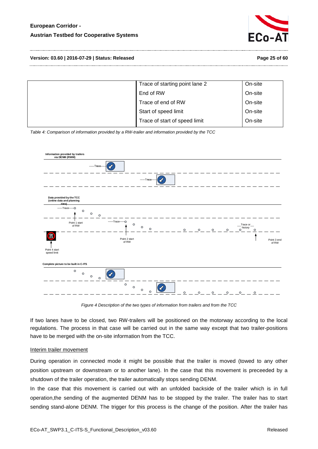

**Version: 03.60 | 2016-07-29 | Status: Released Page 25 of 60**

| Trace of starting point lane 2 | On-site |
|--------------------------------|---------|
|                                |         |
| End of RW                      | On-site |
| Trace of end of RW             | On-site |
| Start of speed limit           | On-site |
| Trace of start of speed limit  | On-site |

<span id="page-24-0"></span>*Table 4: Comparison of information provided by a RW-trailer and information provided by the TCC*



*Figure 4 Description of the two types of information from trailers and from the TCC*

<span id="page-24-1"></span>If two lanes have to be closed, two RW-trailers will be positioned on the motorway according to the local regulations. The process in that case will be carried out in the same way except that two trailer-positions have to be merged with the on-site information from the TCC.

#### Interim trailer movement

During operation in connected mode it might be possible that the trailer is moved (towed to any other position upstream or downstream or to another lane). In the case that this movement is preceeded by a shutdown of the trailer operation, the trailer automatically stops sending DENM.

In the case that this movement is carried out with an unfolded backside of the trailer which is in full operation,the sending of the augmented DENM has to be stopped by the trailer. The trailer has to start sending stand-alone DENM. The trigger for this process is the change of the position. After the trailer has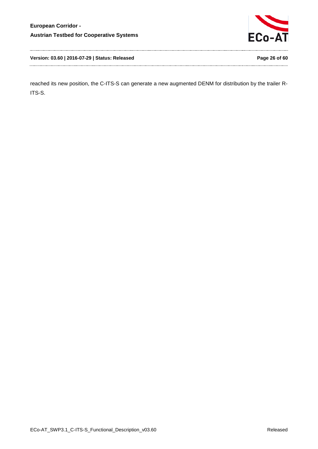

**Version: 03.60 | 2016-07-29 | Status: Released Page 26 of 60**

reached its new position, the C-ITS-S can generate a new augmented DENM for distribution by the trailer R-ITS-S.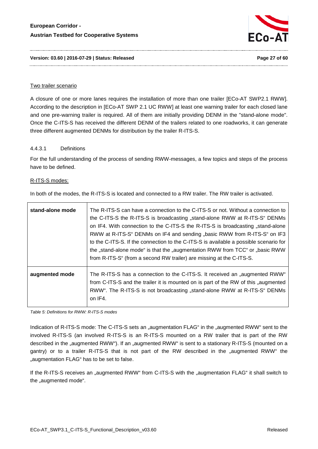

#### **Version: 03.60 | 2016-07-29 | Status: Released Page 27 of 60**

#### Two trailer scenario

A closure of one or more lanes requires the installation of more than one trailer [ECo-AT SWP2.1 RWW]. According to the description in [ECo-AT SWP 2.1 UC RWW] at least one warning trailer for each closed lane and one pre-warning trailer is required. All of them are initially providing DENM in the "stand-alone mode". Once the C-ITS-S has received the different DENM of the trailers related to one roadworks, it can generate three different augmented DENMs for distribution by the trailer R-ITS-S.

#### 4.4.3.1 Definitions

For the full understanding of the process of sending RWW-messages, a few topics and steps of the process have to be defined.

#### R-ITS-S modes:

In both of the modes, the R-ITS-S is located and connected to a RW trailer. The RW trailer is activated.

| stand-alone mode | The R-ITS-S can have a connection to the C-ITS-S or not. Without a connection to<br>the C-ITS-S the R-ITS-S is broadcasting "stand-alone RWW at R-ITS-S" DENMs<br>on IF4. With connection to the C-ITS-S the R-ITS-S is broadcasting "stand-alone<br>RWW at R-ITS-S" DENMs on IF4 and sending "basic RWW from R-ITS-S" on IF3<br>to the C-ITS-S. If the connection to the C-ITS-S is available a possible scenario for<br>the "stand-alone mode" is that the "augmentation RWW from TCC" or "basic RWW<br>from R-ITS-S" (from a second RW trailer) are missing at the C-ITS-S. |
|------------------|--------------------------------------------------------------------------------------------------------------------------------------------------------------------------------------------------------------------------------------------------------------------------------------------------------------------------------------------------------------------------------------------------------------------------------------------------------------------------------------------------------------------------------------------------------------------------------|
| augmented mode   | The R-ITS-S has a connection to the C-ITS-S. It received an "augmented RWW"<br>from C-ITS-S and the trailer it is mounted on is part of the RW of this "augmented<br>RWW". The R-ITS-S is not broadcasting "stand-alone RWW at R-ITS-S" DENMs<br>on IF4.                                                                                                                                                                                                                                                                                                                       |

<span id="page-26-0"></span>*Table 5: Definitions for RWW: R-ITS-S modes*

Indication of R-ITS-S mode: The C-ITS-S sets an "augmentation FLAG" in the "augmented RWW" sent to the involved R-ITS-S (an involved R-ITS-S is an R-ITS-S mounted on a RW trailer that is part of the RW described in the "augmented RWW"). If an "augmented RWW" is sent to a stationary R-ITS-S (mounted on a gantry) or to a trailer R-ITS-S that is not part of the RW described in the "augmented RWW" the "augmentation FLAG" has to be set to false.

If the R-ITS-S receives an "augmented RWW" from C-ITS-S with the "augmentation FLAG" it shall switch to the "augmented mode".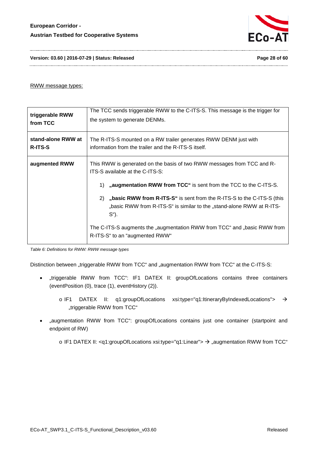

**Version: 03.60 | 2016-07-29 | Status: Released Page 28 of 60**

#### RWW message types:

| triggerable RWW<br>from TCC          | The TCC sends triggerable RWW to the C-ITS-S. This message is the trigger for<br>the system to generate DENMs.                                                                      |  |
|--------------------------------------|-------------------------------------------------------------------------------------------------------------------------------------------------------------------------------------|--|
| stand-alone RWW at<br><b>R-ITS-S</b> | The R-ITS-S mounted on a RW trailer generates RWW DENM just with<br>information from the trailer and the R-ITS-S itself.                                                            |  |
| augmented RWW                        | This RWW is generated on the basis of two RWW messages from TCC and R-<br>ITS-S available at the C-ITS-S:<br>"augmentation RWW from TCC" is sent from the TCC to the C-ITS-S.<br>1) |  |
|                                      | "basic RWW from R-ITS-S" is sent from the R-ITS-S to the C-ITS-S (this<br>2)<br>"basic RWW from R-ITS-S" is similar to the "stand-alone RWW at R-ITS-<br>$S^{\prime\prime}$ ).      |  |
|                                      | The C-ITS-S augments the "augmentation RWW from TCC" and "basic RWW from<br>R-ITS-S" to an "augmented RWW"                                                                          |  |

<span id="page-27-0"></span>*Table 6: Definitions for RWW: RWW message types*

Distinction between "triggerable RWW from TCC" and "augmentation RWW from TCC" at the C-ITS-S:

- "triggerable RWW from TCC": IF1 DATEX II: groupOfLocations contains three containers (eventPosition (0), trace (1), eventHistory (2)).
	- o IF1 DATEX II: q1:groupOfLocations xsi:type="q1:ltineraryByIndexedLocations">  $\rightarrow$ "triggerable RWW from TCC"
- "augmentation RWW from TCC": groupOfLocations contains just one container (startpoint and endpoint of RW)

o IF1 DATEX II: <q1:groupOfLocations xsi:type="q1:Linear">  $\rightarrow$  "augmentation RWW from TCC"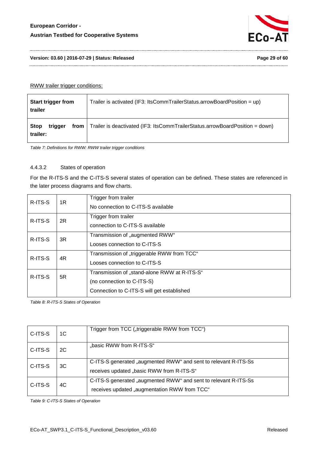

#### **Version: 03.60 | 2016-07-29 | Status: Released Page 29 of 60**

#### RWW trailer trigger conditions:

| <b>Start trigger from</b><br>trailer         | Trailer is activated (IF3: ItsCommTrailerStatus.arrowBoardPosition = up)     |
|----------------------------------------------|------------------------------------------------------------------------------|
| <b>Stop</b><br>triager<br>from l<br>trailer: | Trailer is deactivated (IF3: ItsCommTrailerStatus.arrowBoardPosition = down) |

<span id="page-28-0"></span>*Table 7: Definitions for RWW: RWW trailer trigger conditions*

#### 4.4.3.2 States of operation

For the R-ITS-S and the C-ITS-S several states of operation can be defined. These states are referenced in the later process diagrams and flow charts.

| R-ITS-S | 1R | Trigger from trailer<br>No connection to C-ITS-S available                                                               |  |
|---------|----|--------------------------------------------------------------------------------------------------------------------------|--|
| R-ITS-S | 2R | Trigger from trailer<br>connection to C-ITS-S available                                                                  |  |
| R-ITS-S | 3R | Transmission of "augmented RWW"<br>Looses connection to C-ITS-S                                                          |  |
| R-ITS-S | 4R | Transmission of "triggerable RWW from TCC"<br>Looses connection to C-ITS-S                                               |  |
| R-ITS-S | 5R | Transmission of "stand-alone RWW at R-ITS-S"<br>(no connection to C-ITS-S)<br>Connection to C-ITS-S will get established |  |

<span id="page-28-1"></span>*Table 8: R-ITS-S States of Operation*

| C-ITS-S | 1C | Trigger from TCC ("triggerable RWW from TCC")                                                                   |
|---------|----|-----------------------------------------------------------------------------------------------------------------|
| C-ITS-S | 2C | "basic RWW from R-ITS-S"                                                                                        |
| C-ITS-S | 3C | C-ITS-S generated "augmented RWW" and sent to relevant R-ITS-Ss<br>receives updated "basic RWW from R-ITS-S"    |
| C-ITS-S | 4C | C-ITS-S generated "augmented RWW" and sent to relevant R-ITS-Ss<br>receives updated "augmentation RWW from TCC" |

<span id="page-28-2"></span>*Table 9: C-ITS-S States of Operation*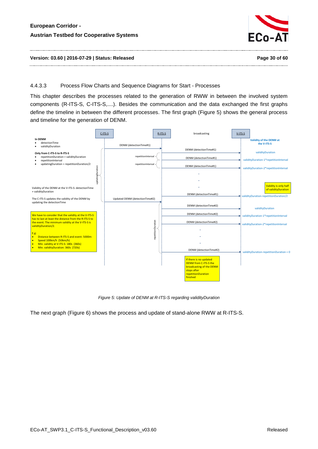

### **Version: 03.60 | 2016-07-29 | Status: Released Page 30 of 60**

#### 4.4.3.3 Process Flow Charts and Sequence Diagrams for Start - Processes

This chapter describes the processes related to the generation of RWW in between the involved system components (R-ITS-S, C-ITS-S,....). Besides the communication and the data exchanged the first graphs define the timeline in between the different processes. The first graph [\(Figure 5\)](#page-29-0) shows the general process and timeline for the generation of DENM.



*Figure 5: Update of DENM at R-ITS-S regarding validityDuration*

<span id="page-29-0"></span>The next graph [\(Figure 6\)](#page-30-0) shows the process and update of stand-alone RWW at R-ITS-S.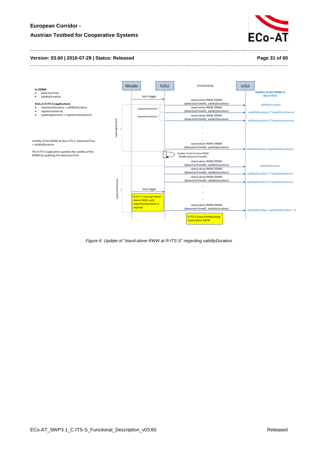

#### **Version: 03.60 | 2016-07-29 | Status: Released Page 31 of 60**



<span id="page-30-0"></span>*Figure 6: Update of "stand-alone RWW at R-ITS-S" regarding validityDuration*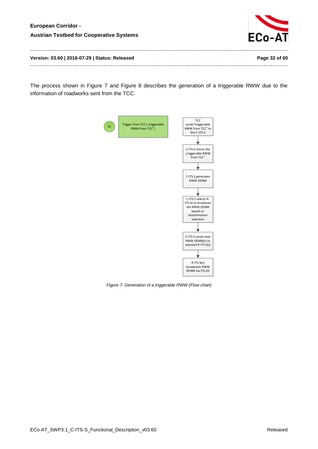

**Version: 03.60 | 2016-07-29 | Status: Released Page 32 of 60**

The process shown in [Figure 7](#page-31-0) and [Figure 8](#page-32-0) describes the generation of a triggerable RWW due to the information of roadworks sent from the TCC.



<span id="page-31-0"></span>*Figure 7: Generation of a triggerable RWW (Flow chart)*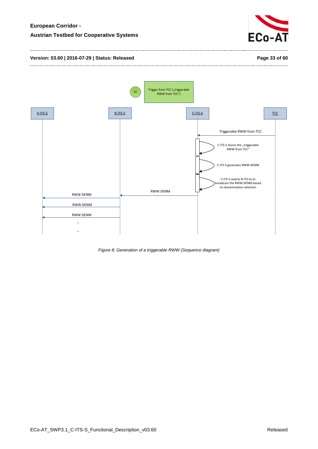

#### **Version: 03.60 | 2016-07-29 | Status: Released Page 33 of 60**



<span id="page-32-0"></span>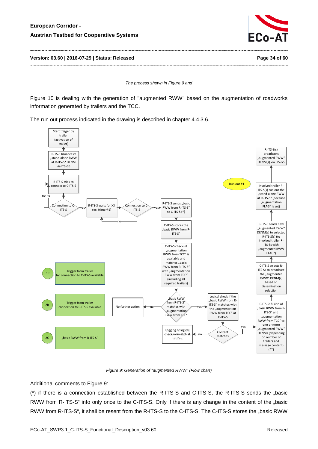

**Version: 03.60 | 2016-07-29 | Status: Released Page 34 of 60**

*The process shown in [Figure 9](#page-33-0) an[d](#page-35-0)* 

[Figure 10](#page-35-0) is dealing with the generation of "augmented RWW" based on the augmentation of roadworks information generated by trailers and the TCC.

The run out process indicated in the drawing is described in chapter [4.4.3.6.](#page-49-1)





<span id="page-33-0"></span>Additional comments to [Figure 9:](#page-33-0)

 $(*)$  if there is a connection established between the R-ITS-S and C-ITS-S, the R-ITS-S sends the "basic RWW from R-ITS-S" info only once to the C-ITS-S. Only if there is any change in the content of the "basic RWW from R-ITS-S", it shall be resent from the R-ITS-S to the C-ITS-S. The C-ITS-S stores the "basic RWW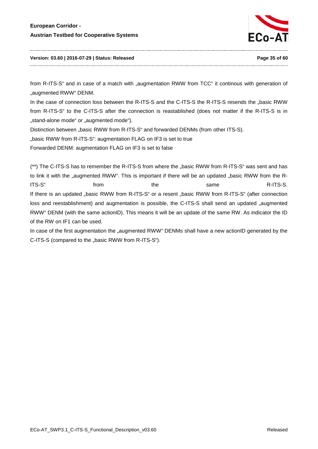

#### **Version: 03.60 | 2016-07-29 | Status: Released Page 35 of 60**

from R-ITS-S" and in case of a match with "augmentation RWW from TCC" it continous with generation of "augmented RWW" DENM.

In the case of connection loss between the R-ITS-S and the C-ITS-S the R-ITS-S resends the "basic RWW from R-ITS-S" to the C-ITS-S after the connection is reastablished (does not matter if the R-ITS-S is in "stand-alone mode" or "augmented mode").

Distinction between "basic RWW from R-ITS-S" and forwarded DENMs (from other ITS-S).

"basic RWW from R-ITS-S": augmentation FLAG on IF3 is set to true

Forwarded DENM: augmentation FLAG on IF3 is set to false

(\*\*) The C-ITS-S has to remember the R-ITS-S from where the "basic RWW from R-ITS-S" was sent and has to link it with the "augmented RWW". This is important if there will be an updated "basic RWW from the R-ITS-S" from the same R-ITS-S. If there is an updated "basic RWW from R-ITS-S" or a resent "basic RWW from R-ITS-S" (after connection loss and reestablishment) and augmentation is possible, the C-ITS-S shall send an updated "augmented RWW" DENM (with the same actionID). This means it will be an update of the same RW. As indicator the ID of the RW on IF1 can be used.

In case of the first augmentation the "augmented RWW" DENMs shall have a new actionID generated by the C-ITS-S (compared to the "basic RWW from R-ITS-S").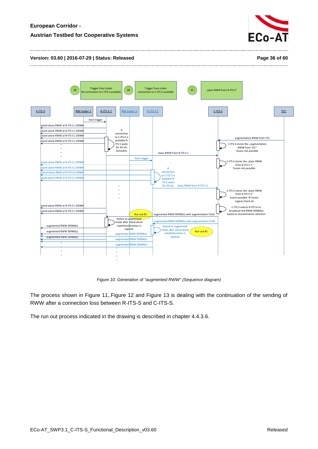

#### **Version: 03.60 | 2016-07-29 | Status: Released Page 36 of 60**



*Figure 10: Generation of "augmented RWW" (Sequence diagram)*

<span id="page-35-0"></span>The process shown in [Figure 11,](#page-36-0)[.Figure 12](#page-37-0) and [Figure 13](#page-38-0) is dealing with the continuation of the sending of RWW after a connection loss between R-ITS-S and C-ITS-S.

The run out process indicated in the drawing is described in chapter [4.4.3.6.](#page-49-1)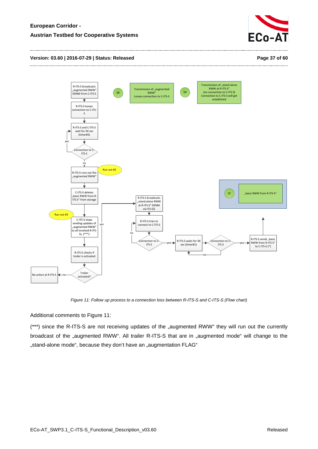

#### **Version: 03.60 | 2016-07-29 | Status: Released Page 37 of 60**



*Figure 11: Follow up process to a connection loss between R-ITS-S and C-ITS-S (Flow chart)*

<span id="page-36-0"></span>Additional comments to [Figure 11:](#page-36-0)

(\*\*\*) since the R-ITS-S are not receiving updates of the "augmented RWW" they will run out the currently broadcast of the "augmented RWW". All trailer R-ITS-S that are in "augmented mode" will change to the "stand-alone mode", because they don't have an "augmentation FLAG"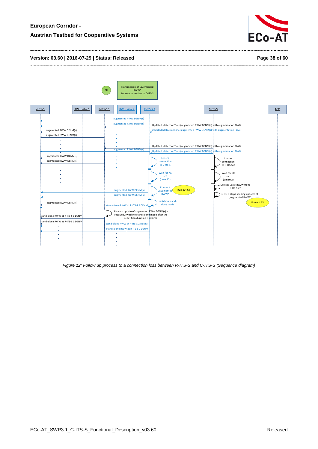

#### **Version: 03.60 | 2016-07-29 | Status: Released Page 38 of 60**



<span id="page-37-0"></span>*Figure 12: Follow up process to a connection loss between R-ITS-S and C-ITS-S (Sequence diagram)*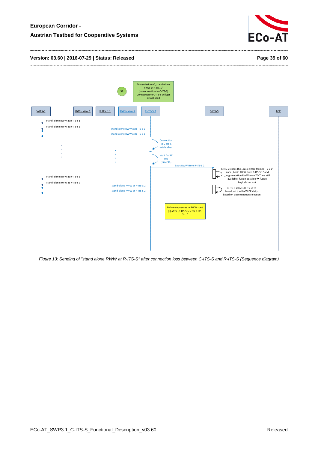

#### **Version: 03.60 | 2016-07-29 | Status: Released Page 39 of 60**



<span id="page-38-0"></span>*Figure 13: Sending of "stand alone RWW at R-ITS-S" after connection loss between C-ITS-S and R-ITS-S (Sequence diagram)*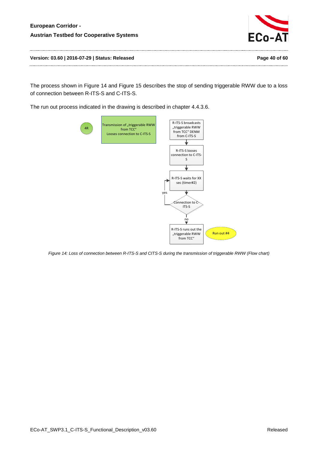

**Version: 03.60 | 2016-07-29 | Status: Released Page 40 of 60**

The process shown in [Figure 14](#page-39-0) and [Figure 15](#page-40-0) describes the stop of sending triggerable RWW due to a loss of connection between R-ITS-S and C-ITS-S.

The run out process indicated in the drawing is described in chapter [4.4.3.6.](#page-49-1)



<span id="page-39-0"></span>*Figure 14: Loss of connection between R-ITS-S and CITS-S during the transmission of triggerable RWW (Flow chart)*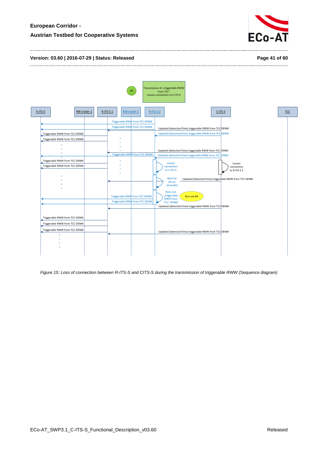

#### **Version: 03.60 | 2016-07-29 | Status: Released Page 41 of 60**



<span id="page-40-0"></span>*Figure 15: Loss of connection between R-ITS-S and CITS-S during the transmission of triggerable RWW (Sequence diagram)*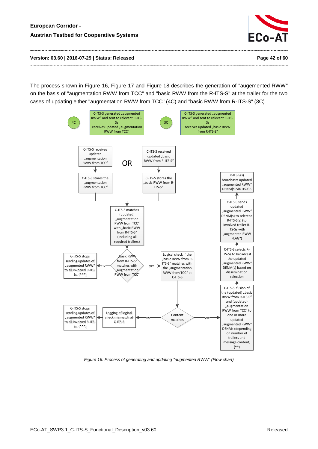

#### **Version: 03.60 | 2016-07-29 | Status: Released Page 42 of 60**

The process shown in [Figure 16,](#page-41-0) [Figure 17](#page-42-0) and [Figure 18](#page-43-0) describes the generation of "augemented RWW" on the basis of "augmentation RWW from TCC" and "basic RWW from the R-ITS-S" at the trailer for the two cases of updating either "augmentation RWW from TCC" (4C) and "basic RWW from R-ITS-S" (3C).



<span id="page-41-0"></span>*Figure 16: Process of generating and updating "augmented RWW" (Flow chart)*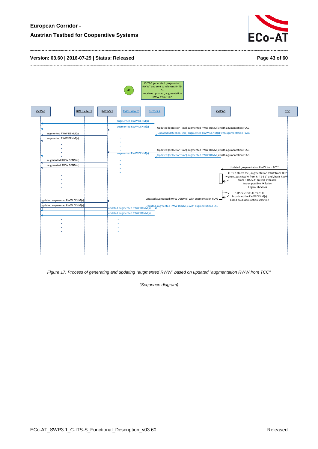

#### **Version: 03.60 | 2016-07-29 | Status: Released Page 43 of 60**



<span id="page-42-0"></span>*Figure 17: Process of generating and updating "augmented RWW" based on updated "augmentation RWW from TCC"*

*(Sequence diagram)*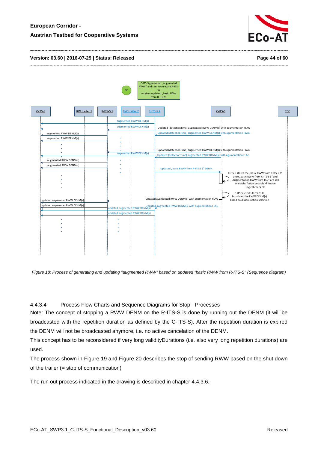

#### **Version: 03.60 | 2016-07-29 | Status: Released Page 44 of 60**



<span id="page-43-0"></span>*Figure 18: Process of generating and updating "augmented RWW" based on updated "basic RWW from R-ITS-S" (Sequence diagram)*

4.4.3.4 Process Flow Charts and Sequence Diagrams for Stop - Processes

Note: The concept of stopping a RWW DENM on the R-ITS-S is done by running out the DENM (it will be broadcasted with the repetition duration as defined by the C-ITS-S). After the repetition duration is expired the DENM will not be broadcasted anymore, i.e. no active cancelation of the DENM.

This concept has to be reconsidered if very long validityDurations (i.e. also very long repetition durations) are used.

The process shown in [Figure 19](#page-44-0) and [Figure 20](#page-44-1) describes the stop of sending RWW based on the shut down of the trailer (= stop of communication)

The run out process indicated in the drawing is described in chapter [4.4.3.6.](#page-49-1)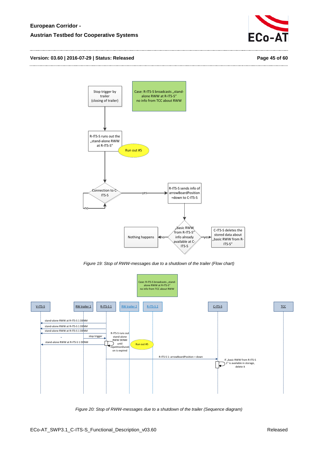

#### **Version: 03.60 | 2016-07-29 | Status: Released Page 45 of 60**



*Figure 19: Stop of RWW-messages due to a shutdown of the trailer (Flow chart)*

<span id="page-44-0"></span>

<span id="page-44-1"></span>*Figure 20: Stop of RWW-messages due to a shutdown of the trailer (Sequence diagram)*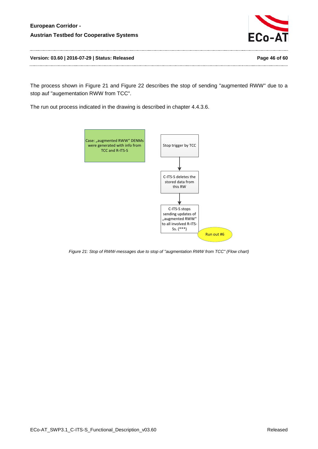

**Version: 03.60 | 2016-07-29 | Status: Released Page 46 of 60**

The process shown in [Figure 21](#page-45-0) and [Figure 22](#page-46-0) describes the stop of sending "augmented RWW" due to a stop auf "augementation RWW from TCC".

The run out process indicated in the drawing is described in chapter [4.4.3.6.](#page-49-1)



<span id="page-45-0"></span>*Figure 21: Stop of RWW-messages due to stop of "augmentation RWW from TCC" (Flow chart)*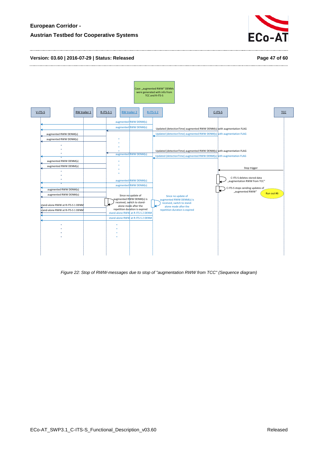

#### **Version: 03.60 | 2016-07-29 | Status: Released Page 47 of 60**



<span id="page-46-0"></span>*Figure 22: Stop of RWW-messages due to stop of "augmentation RWW from TCC" (Sequence diagram)*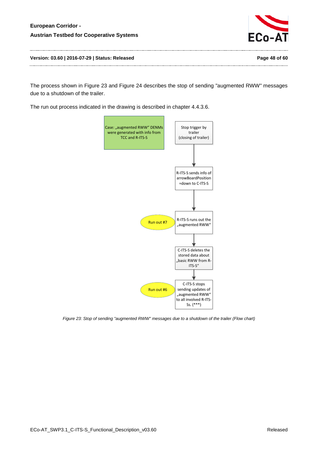

**Version: 03.60 | 2016-07-29 | Status: Released Page 48 of 60**

The process shown in [Figure 23](#page-47-0) and [Figure 24](#page-48-0) describes the stop of sending "augmented RWW" messages due to a shutdown of the trailer.

The run out process indicated in the drawing is described in chapter [4.4.3.6.](#page-49-1)



<span id="page-47-0"></span>*Figure 23: Stop of sending "augmented RWW" messages due to a shutdown of the trailer (Flow chart)*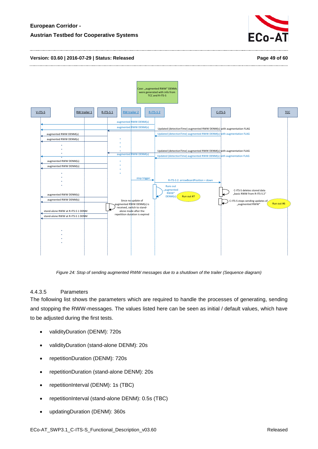

#### **Version: 03.60 | 2016-07-29 | Status: Released Page 49 of 60**



*Figure 24: Stop of sending augmented RWW messages due to a shutdown of the trailer (Sequence diagram)*

#### <span id="page-48-0"></span>4.4.3.5 Parameters

The following list shows the parameters which are required to handle the processes of generating, sending and stopping the RWW-messages. The values listed here can be seen as initial / default values, which have to be adjusted during the first tests.

- validityDuration (DENM): 720s
- validityDuration (stand-alone DENM): 20s
- repetitionDuration (DENM): 720s
- repetitionDuration (stand-alone DENM): 20s
- repetitionInterval (DENM): 1s (TBC)
- repetitionInterval (stand-alone DENM): 0.5s (TBC)
- updatingDuration (DENM): 360s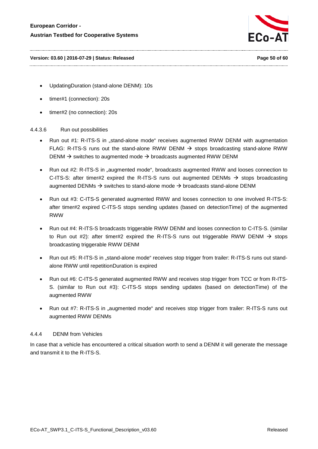

#### **Version: 03.60 | 2016-07-29 | Status: Released Page 50 of 60**

- UpdatingDuration (stand-alone DENM): 10s
- timer#1 (connection): 20s
- timer#2 (no connection): 20s

#### <span id="page-49-1"></span>4.4.3.6 Run out possibilities

- Run out #1: R-ITS-S in "stand-alone mode" receives augmented RWW DENM with augmentation FLAG: R-ITS-S runs out the stand-alone RWW DENM  $\rightarrow$  stops broadcasting stand-alone RWW DENM  $\rightarrow$  switches to augmented mode  $\rightarrow$  broadcasts augmented RWW DENM
- Run out #2: R-ITS-S in "augmented mode", broadcasts augmented RWW and looses connection to C-ITS-S: after timer#2 expired the R-ITS-S runs out augmented DENMs  $\rightarrow$  stops broadcasting augmented DENMs  $\rightarrow$  switches to stand-alone mode  $\rightarrow$  broadcasts stand-alone DENM
- Run out #3: C-ITS-S generated augmented RWW and looses connection to one involved R-ITS-S: after timer#2 expired C-ITS-S stops sending updates (based on detectionTime) of the augmented RWW
- Run out #4: R-ITS-S broadcasts triggerable RWW DENM and looses connection to C-ITS-S. (similar to Run out #2): after timer#2 expired the R-ITS-S runs out triggerable RWW DENM  $\rightarrow$  stops broadcasting triggerable RWW DENM
- Run out #5: R-ITS-S in "stand-alone mode" receives stop trigger from trailer: R-ITS-S runs out standalone RWW until repetitionDuration is expired
- Run out #6: C-ITS-S generated augmented RWW and receives stop trigger from TCC or from R-ITS-S. (similar to Run out #3): C-ITS-S stops sending updates (based on detectionTime) of the augmented RWW
- Run out #7: R-ITS-S in "augmented mode" and receives stop trigger from trailer: R-ITS-S runs out augmented RWW DENMs

#### <span id="page-49-0"></span>4.4.4 DENM from Vehicles

In case that a vehicle has encountered a critical situation worth to send a DENM it will generate the message and transmit it to the R-ITS-S.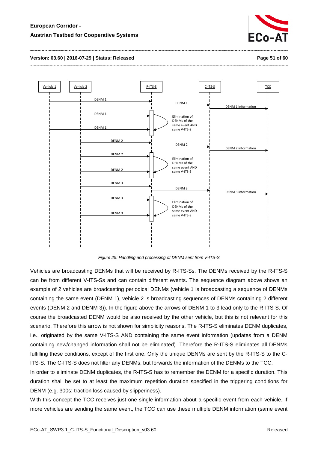

#### **Version: 03.60 | 2016-07-29 | Status: Released Page 51 of 60**



*Figure 25: Handling and processing of DENM sent from V-ITS-S*

Vehicles are broadcasting DENMs that will be received by R-ITS-Ss. The DENMs received by the R-ITS-S can be from different V-ITS-Ss and can contain different events. The sequence diagram above shows an example of 2 vehicles are broadcasting periodical DENMs (vehicle 1 is broadcasting a sequence of DENMs containing the same event (DENM 1), vehicle 2 is broadcasting sequences of DENMs containing 2 different events (DENM 2 and DENM 3)). In the figure above the arrows of DENM 1 to 3 lead only to the R-ITS-S. Of course the broadcasted DENM would be also received by the other vehicle, but this is not relevant for this scenario. Therefore this arrow is not shown for simplicity reasons. The R-ITS-S eliminates DENM duplicates, i.e., originated by the same V-ITS-S AND containing the same event information (updates from a DENM containing new/changed information shall not be eliminated). Therefore the R-ITS-S eliminates all DENMs fulfilling these conditions, except of the first one. Only the unique DENMs are sent by the R-ITS-S to the C-ITS-S. The C-ITS-S does not filter any DENMs, but forwards the information of the DENMs to the TCC.

In order to eliminate DENM duplicates, the R-ITS-S has to remember the DENM for a specific duration. This duration shall be set to at least the maximum repetition duration specified in the triggering conditions for DENM (e.g. 300s: traction loss caused by slipperiness).

With this concept the TCC receives just one single information about a specific event from each vehicle. If more vehicles are sending the same event, the TCC can use these multiple DENM information (same event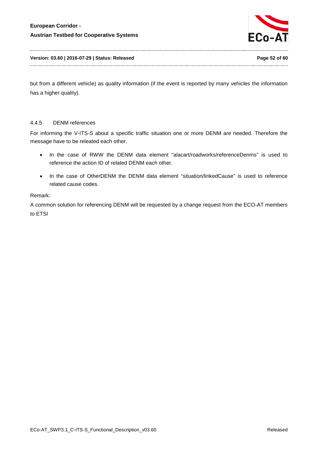

#### **Version: 03.60 | 2016-07-29 | Status: Released Page 52 of 60**

but from a different vehicle) as quality information (if the event is reported by many vehicles the information has a higher quality).

#### <span id="page-51-0"></span>4.4.5 DENM references

For informing the V-ITS-S about a specific traffic situation one or more DENM are needed. Therefore the message have to be releated each other.

- In the case of RWW the DENM data element "alacart/roadworks/referenceDenms" is used to reference the action ID of related DENM each other.
- In the case of OtherDENM the DENM data element "situation/linkedCause" is used to reference related cause codes.

#### Remark:

A common solution for referencing DENM will be requested by a change request from the ECO-AT members to ETSI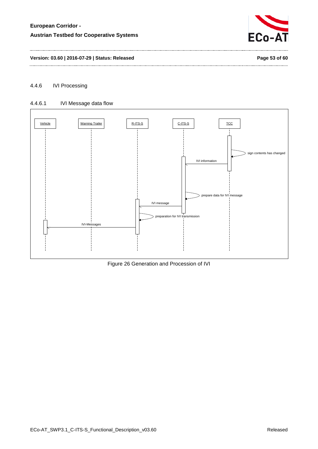

**Version: 03.60 | 2016-07-29 | Status: Released Page 53 of 60**

#### <span id="page-52-0"></span>4.4.6 IVI Processing

#### 4.4.6.1 IVI Message data flow



Figure 26 Generation and Procession of IVI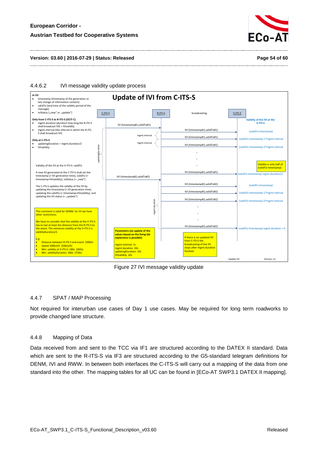

#### **Version: 03.60 | 2016-07-29 | Status: Released Page 54 of 60**



#### Figure 27 IVI message validity update

#### <span id="page-53-0"></span>4.4.7 SPAT / MAP Processing

Not required for interurban use cases of Day 1 use cases. May be required for long term roadworks to provide changed lane structure.

#### <span id="page-53-1"></span>4.4.8 Mapping of Data

Data received from and sent to the TCC via IF1 are structured according to the DATEX II standard. Data which are sent to the R-ITS-S via IF3 are structured according to the G5-standard telegram definitions for DENM, IVI and RWW. In between both interfaces the C-ITS-S will carry out a mapping of the data from one standard into the other. The mapping tables for all UC can be found in [ECo-AT SWP3.1 DATEX II mapping].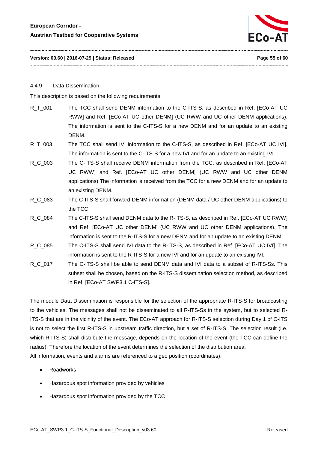

#### **Version: 03.60 | 2016-07-29 | Status: Released Page 55 of 60**

#### <span id="page-54-0"></span>4.4.9 Data Dissemination

This description is based on the following requirements:

- R\_T\_001 The TCC shall send DENM information to the C-ITS-S, as described in Ref. [ECo-AT UC RWW] and Ref. [ECo-AT UC other DENM] (UC RWW and UC other DENM applications). The information is sent to the C-ITS-S for a new DENM and for an update to an existing DENM.
- R\_T\_003 The TCC shall send IVI information to the C-ITS-S, as described in Ref. [ECo-AT UC IVI]. The information is sent to the C-ITS-S for a new IVI and for an update to an existing IVI.
- R C 003 The C-ITS-S shall receive DENM information from the TCC, as described in Ref. [ECo-AT UC RWW] and Ref. [ECo-AT UC other DENM] (UC RWW and UC other DENM applications).The information is received from the TCC for a new DENM and for an update to an existing DENM.
- R\_C\_083 The C-ITS-S shall forward DENM information (DENM data / UC other DENM applications) to the TCC.
- R\_C\_084 The C-ITS-S shall send DENM data to the R-ITS-S, as described in Ref. [ECo-AT UC RWW] and Ref. [ECo-AT UC other DENM] (UC RWW and UC other DENM applications). The information is sent to the R-ITS-S for a new DENM and for an update to an existing DENM.
- R\_C\_085 The C-ITS-S shall send IVI data to the R-ITS-S, as described in Ref. [ECo-AT UC IVI]. The information is sent to the R-ITS-S for a new IVI and for an update to an existing IVI.
- R\_C\_017 The C-ITS-S shall be able to send DENM data and IVI data to a subset of R-ITS-Ss. This subset shall be chosen, based on the R-ITS-S dissemination selection method, as described in Ref. [ECo-AT SWP3.1 C-ITS-S].

The module Data Dissemination is responsible for the selection of the appropriate R-ITS-S for broadcasting to the vehicles. The messages shall not be disseminated to all R-ITS-Ss in the system, but to selected R-ITS-S that are in the vicinity of the event. The ECo-AT approach for R-ITS-S selection during Day 1 of C-ITS is not to select the first R-ITS-S in upstream traffic direction, but a set of R-ITS-S. The selection result (i.e. which R-ITS-S) shall distribute the message, depends on the location of the event (the TCC can define the radius). Therefore the location of the event determines the selection of the distribution area. All information, events and alarms are referenced to a geo position (coordinates).

- **Roadworks**
- Hazardous spot information provided by vehicles
- Hazardous spot information provided by the TCC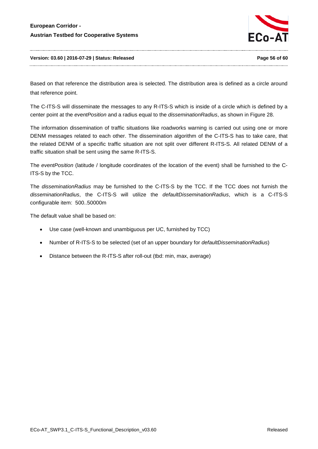

#### **Version: 03.60 | 2016-07-29 | Status: Released Page 56 of 60**

Based on that reference the distribution area is selected. The distribution area is defined as a circle around that reference point.

The C-ITS-S will disseminate the messages to any R-ITS-S which is inside of a circle which is defined by a center point at the *eventPosition* and a radius equal to the *disseminationRadius*, as shown in [Figure 28.](#page-56-1)

The information dissemination of traffic situations like roadworks warning is carried out using one or more DENM messages related to each other. The dissemination algorithm of the C-ITS-S has to take care, that the related DENM of a specific traffic situation are not split over different R-ITS-S. All related DENM of a traffic situation shall be sent using the same R-ITS-S.

The *eventPosition* (latitude / longitude coordinates of the location of the event) shall be furnished to the C-ITS-S by the TCC.

The *disseminationRadius* may be furnished to the C-ITS-S by the TCC. If the TCC does not furnish the *disseminationRadius*, the C-ITS-S will utilize the *defaultDisseminationRadius*, which is a C-ITS-S configurable item: 500..50000m

The default value shall be based on:

- Use case (well-known and unambiguous per UC, furnished by TCC)
- Number of R-ITS-S to be selected (set of an upper boundary for *defaultDisseminationRadius*)
- Distance between the R-ITS-S after roll-out (tbd: min, max, average)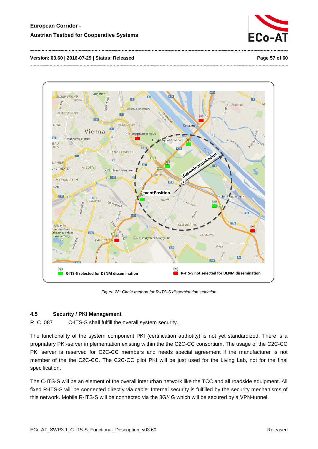

#### **Version: 03.60 | 2016-07-29 | Status: Released Page 57 of 60**



*Figure 28: Circle method for R-ITS-S dissemination selection*

# <span id="page-56-1"></span><span id="page-56-0"></span>**4.5 Security / PKI Management**

R\_C\_087 C-ITS-S shall fulfill the overall system security.

The functionality of the system component PKI (certification authotity) is not yet standardized. There is a propriatary PKI-server implementation existing within the the C2C-CC consortium. The usage of the C2C-CC PKI server is reserved for C2C-CC members and needs special agreement if the manufacturer is not member of the the C2C-CC. The C2C-CC pilot PKI will be just used for the Living Lab, not for the final specification.

The C-ITS-S will be an element of the overall interurban network like the TCC and all roadside equipment. All fixed R-ITS-S will be connected directly via cable. Internal security is fulfilled by the security mechanisms of this network. Mobile R-ITS-S will be connected via the 3G/4G which will be secured by a VPN-tunnel.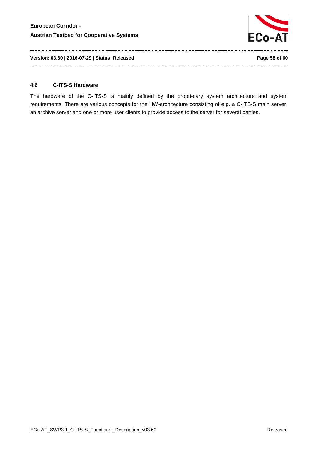

**Version: 03.60 | 2016-07-29 | Status: Released Page 58 of 60**

#### <span id="page-57-0"></span>**4.6 C-ITS-S Hardware**

The hardware of the C-ITS-S is mainly defined by the proprietary system architecture and system requirements. There are various concepts for the HW-architecture consisting of e.g. a C-ITS-S main server, an archive server and one or more user clients to provide access to the server for several parties.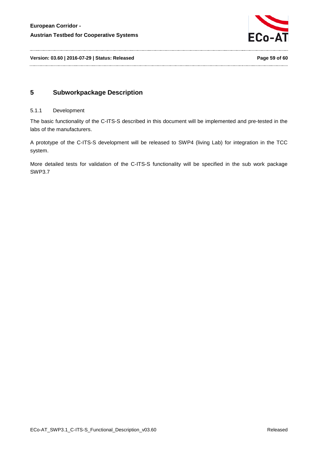

**Version: 03.60 | 2016-07-29 | Status: Released Page 59 of 60**

# <span id="page-58-1"></span><span id="page-58-0"></span>**5 Subworkpackage Description**

#### 5.1.1 Development

The basic functionality of the C-ITS-S described in this document will be implemented and pre-tested in the labs of the manufacturers.

A prototype of the C-ITS-S development will be released to SWP4 (living Lab) for integration in the TCC system.

More detailed tests for validation of the C-ITS-S functionality will be specified in the sub work package SWP3.7